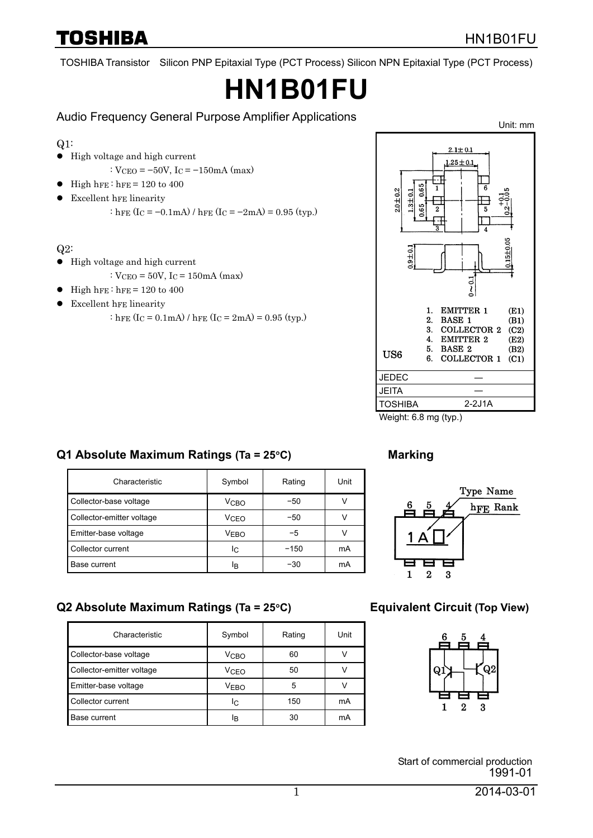TOSHIBA

TOSHIBA Transistor Silicon PNP Epitaxial Type (PCT Process) Silicon NPN Epitaxial Type (PCT Process)

# **HN1B01FU**

Audio Frequency General Purpose Amplifier Applications

Q1:

- $\bullet$  High voltage and high current
	- :  $V_{\text{CEO}} = -50V$ ,  $I_{\text{C}} = -150 \text{mA}$  (max)
- High hFE : hFE =  $120$  to  $400$
- Excellent hFE linearity

: hFE (Ic =  $-0.1$ mA) / hFE (Ic =  $-2$ mA) = 0.95 (typ.)

Q2:

- $\bullet$  High voltage and high current
	- :  $V_{CEO} = 50V$ ,  $I_C = 150mA$  (max)
- High hFE : hFE =  $120$  to  $400$
- $\bullet$  Excellent hFE linearity

: hFE  $(I_C = 0.1 \text{ mA}) / \text{hFE} (I_C = 2 \text{ mA}) = 0.95 \text{ (typ.)}$ 



Weight: 6.8 mg (typ.)

## **Q1 Absolute Maximum Ratings (Ta = 25**°**C) Marking**

| Characteristic            | Symbol           | Rating | Unit |
|---------------------------|------------------|--------|------|
| Collector-base voltage    | V <sub>CBO</sub> | -50    |      |
| Collector-emitter voltage | V <sub>CEO</sub> | -50    |      |
| Emitter-base voltage      | <b>VEBO</b>      | -5     |      |
| Collector current         | IC               | $-150$ | mA   |
| Base current              | ΙB               | -30    | mA   |



## **Q2 Absolute Maximum Ratings (Ta = 25**°**C) Equivalent Circuit (Top View)**

| Characteristic            | Symbol           | Rating | Unit |
|---------------------------|------------------|--------|------|
| Collector-base voltage    | V <sub>CBO</sub> | 60     |      |
| Collector-emitter voltage | V <sub>CEO</sub> | 50     |      |
| Emitter-base voltage      | <b>VEBO</b>      | 5      |      |
| Collector current         | IC               | 150    | mA   |
| Base current              | ΙŖ               | 30     | mA   |



Start of commercial production 1991-01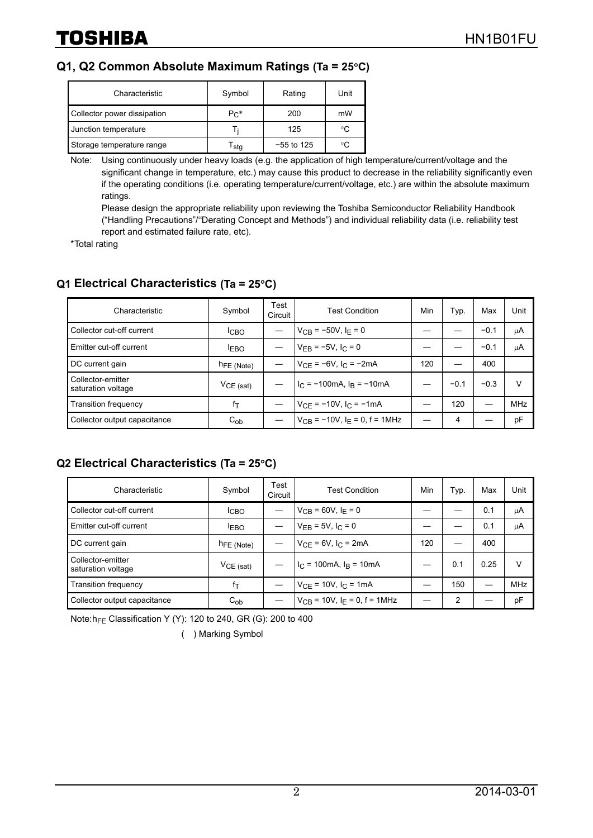### **Q1, Q2 Common Absolute Maximum Ratings (Ta = 25**°**C)**

| Characteristic              | Symbol    | Rating       | Unit |
|-----------------------------|-----------|--------------|------|
| Collector power dissipation | $P_{C}$ * | 200          | mW   |
| Junction temperature        |           | 125          | °C   |
| Storage temperature range   | stg       | $-55$ to 125 | °C.  |

Note: Using continuously under heavy loads (e.g. the application of high temperature/current/voltage and the significant change in temperature, etc.) may cause this product to decrease in the reliability significantly even if the operating conditions (i.e. operating temperature/current/voltage, etc.) are within the absolute maximum ratings.

Please design the appropriate reliability upon reviewing the Toshiba Semiconductor Reliability Handbook ("Handling Precautions"/"Derating Concept and Methods") and individual reliability data (i.e. reliability test report and estimated failure rate, etc).

\* Total rating

### **Q1 Electrical Characteristics (Ta = 25**°**C)**

| Characteristic                          | Symbol                 | Test<br>Circuit | <b>Test Condition</b>                | Min | Typ.   | Max    | Unit |
|-----------------------------------------|------------------------|-----------------|--------------------------------------|-----|--------|--------|------|
| Collector cut-off current               | <b>ICBO</b>            |                 | $V_{CR}$ = -50V, I <sub>F</sub> = 0  |     |        | $-0.1$ | μA   |
| Emitter cut-off current                 | <b>EBO</b>             |                 | $V_{FB} = -5V$ , $I_C = 0$           |     |        | $-0.1$ | μA   |
| DC current gain                         | h <sub>FE</sub> (Note) |                 | $V_{CF} = -6V$ , $I_C = -2mA$        | 120 |        | 400    |      |
| Collector-emitter<br>saturation voltage | $VCE$ (sat)            |                 | $1C = -100mA, 1B = -10mA$            |     | $-0.1$ | $-0.3$ | v    |
| Transition frequency                    | fτ                     |                 | $V_{CF} = -10V$ , $I_C = -1mA$       |     | 120    |        | MHz  |
| Collector output capacitance            | $C_{ob}$               |                 | $V_{CR}$ = -10V, $I_F$ = 0, f = 1MHz |     | 4      |        | pF   |

#### **Q2 Electrical Characteristics (Ta = 25**°**C)**

| Characteristic                          | Symbol                 | Test<br>Circuit | <b>Test Condition</b>                        | Min | Тyр. | Max  | Unit       |
|-----------------------------------------|------------------------|-----------------|----------------------------------------------|-----|------|------|------------|
| Collector cut-off current               | <b>ICBO</b>            |                 | $V_{CB} = 60V, I_F = 0$                      |     |      | 0.1  | μA         |
| Emitter cut-off current                 | <b>EBO</b>             |                 | $V_{EB} = 5V$ , $I_C = 0$                    |     |      | 0.1  | μA         |
| DC current gain                         | h <sub>FE</sub> (Note) |                 | $V_{CF} = 6V$ , $I_C = 2mA$                  | 120 |      | 400  |            |
| Collector-emitter<br>saturation voltage | $VCE$ (sat)            |                 | $I_C = 100 \text{mA}$ , $I_B = 10 \text{mA}$ |     | 0.1  | 0.25 | v          |
| <b>Transition frequency</b>             | $f_{\mathsf{T}}$       |                 | $V_{CF}$ = 10V, $I_C$ = 1mA                  |     | 150  |      | <b>MHz</b> |
| Collector output capacitance            | $C_{ob}$               |                 | $V_{CB}$ = 10V, I <sub>F</sub> = 0, f = 1MHz |     | 2    |      | pF         |

Note: h<sub>FE</sub> Classification Y (Y): 120 to 240, GR (G): 200 to 400

( ) Marking Symbol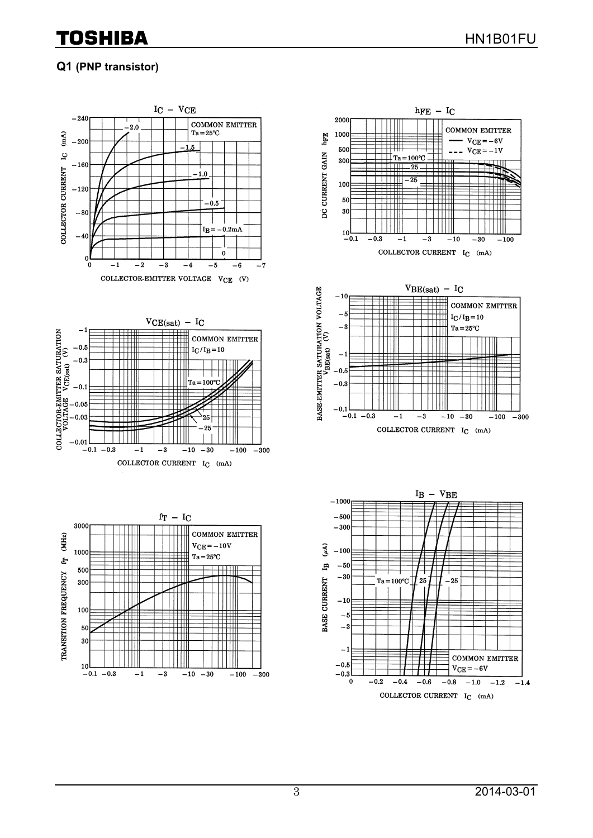## Toshiba

## **Q1 (PNP transistor)**





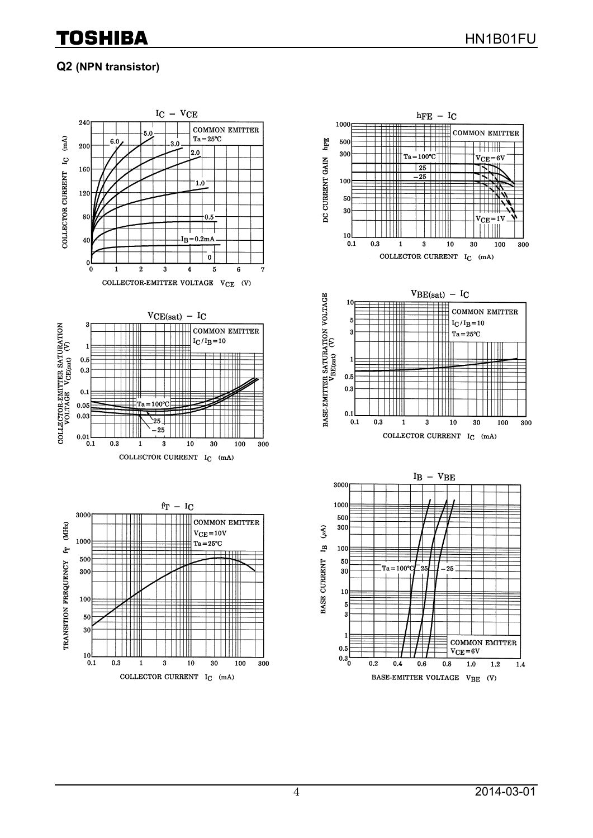## TOSHIBA

 $\overline{+}\overline{+}\overline{+}\overline{+}$ 

 $\mathrm{V_{CE}} = 6 \mathrm{V}$ 

 $V_{\rm CFT}$ =11

 $(mA)$ 

30

100

300

100

 $\overline{300}$ 

חאו

## **Q2 (NPN transistor)**



4 2014-03-01

 $1.2$ 

 $1.4$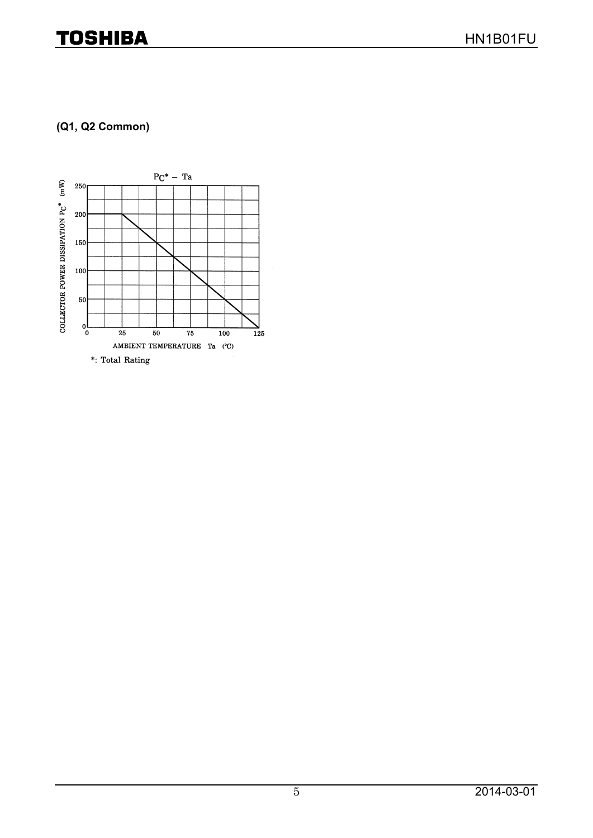## **TOSHIBA**

## **(Q1, Q2 Common)**

![](_page_4_Figure_3.jpeg)